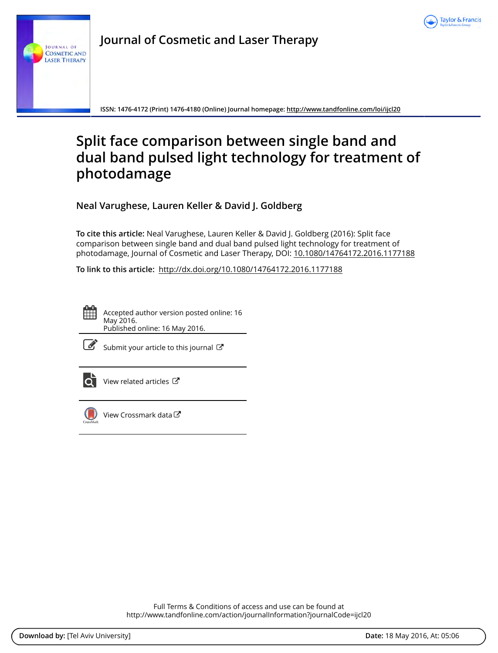

**Journal of Cosmetic and Laser Therapy**

**ISSN: 1476-4172 (Print) 1476-4180 (Online) Journal homepage:<http://www.tandfonline.com/loi/ijcl20>**

# **Split face comparison between single band and dual band pulsed light technology for treatment of photodamage**

**Neal Varughese, Lauren Keller & David J. Goldberg**

**To cite this article:** Neal Varughese, Lauren Keller & David J. Goldberg (2016): Split face comparison between single band and dual band pulsed light technology for treatment of photodamage, Journal of Cosmetic and Laser Therapy, DOI: [10.1080/14764172.2016.1177188](http://www.tandfonline.com/action/showCitFormats?doi=10.1080/14764172.2016.1177188)

**To link to this article:** <http://dx.doi.org/10.1080/14764172.2016.1177188>

Accepted author version posted online: 16 May 2016. Published online: 16 May 2016.



[Submit your article to this journal](http://www.tandfonline.com/action/authorSubmission?journalCode=ijcl20&page=instructions)  $\mathbb{Z}$ 



 $\overline{\textbf{Q}}$  [View related articles](http://www.tandfonline.com/doi/mlt/10.1080/14764172.2016.1177188)  $\mathbb{Z}$ 



[View Crossmark data](http://crossmark.crossref.org/dialog/?doi=10.1080/14764172.2016.1177188&domain=pdf&date_stamp=2016-05-16)<sup>で</sup>

Full Terms & Conditions of access and use can be found at <http://www.tandfonline.com/action/journalInformation?journalCode=ijcl20>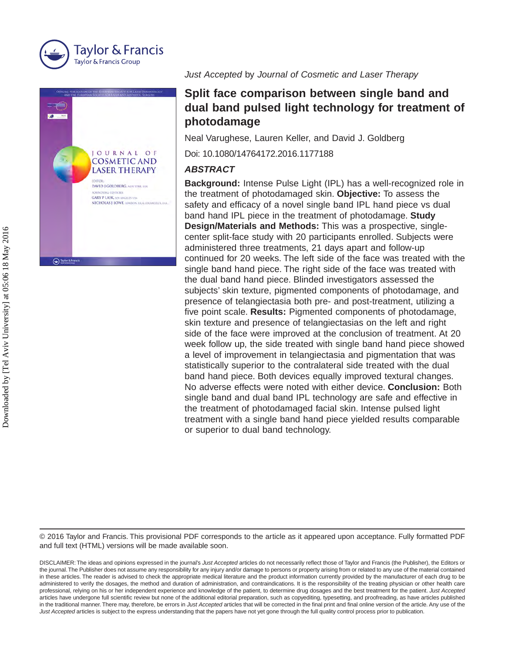



O Taylor & F

*Just Accepted* by *Journal of Cosmetic and Laser Therapy*

# **Split face comparison between single band and dual band pulsed light technology for treatment of photodamage**

Neal Varughese, Lauren Keller, and David J. Goldberg

Doi: 10.1080/14764172.2016.1177188

### *ABSTRACT*

**Background:** Intense Pulse Light (IPL) has a well-recognized role in the treatment of photodamaged skin. **Objective:** To assess the safety and efficacy of a novel single band IPL hand piece vs dual band hand IPL piece in the treatment of photodamage. **Study Design/Materials and Methods:** This was a prospective, singlecenter split-face study with 20 participants enrolled. Subjects were administered three treatments, 21 days apart and follow-up continued for 20 weeks. The left side of the face was treated with the single band hand piece. The right side of the face was treated with the dual band hand piece. Blinded investigators assessed the subjects' skin texture, pigmented components of photodamage, and presence of telangiectasia both pre- and post-treatment, utilizing a five point scale. **Results:** Pigmented components of photodamage, skin texture and presence of telangiectasias on the left and right side of the face were improved at the conclusion of treatment. At 20 week follow up, the side treated with single band hand piece showed a level of improvement in telangiectasia and pigmentation that was statistically superior to the contralateral side treated with the dual band hand piece. Both devices equally improved textural changes. No adverse effects were noted with either device. **Conclusion:** Both single band and dual band IPL technology are safe and effective in the treatment of photodamaged facial skin. Intense pulsed light treatment with a single band hand piece yielded results comparable or superior to dual band technology.

© 2016 Taylor and Francis. This provisional PDF corresponds to the article as it appeared upon acceptance. Fully formatted PDF and full text (HTML) versions will be made available soon.

DISCLAIMER: The ideas and opinions expressed in the journal's *Just Accepted* articles do not necessarily reflect those of Taylor and Francis (the Publisher), the Editors or the journal. The Publisher does not assume any responsibility for any injury and/or damage to persons or property arising from or related to any use of the material contained in these articles. The reader is advised to check the appropriate medical literature and the product information currently provided by the manufacturer of each drug to be administered to verify the dosages, the method and duration of administration, and contraindications. It is the responsibility of the treating physician or other health care professional, relying on his or her independent experience and knowledge of the patient, to determine drug dosages and the best treatment for the patient. *Just Accepted* articles have undergone full scientific review but none of the additional editorial preparation, such as copyediting, typesetting, and proofreading, as have articles published in the traditional manner. There may, therefore, be errors in *Just Accepted* articles that will be corrected in the final print and final online version of the article. Any use of the *Just Accepted* articles is subject to the express understanding that the papers have not yet gone through the full quality control process prior to publication.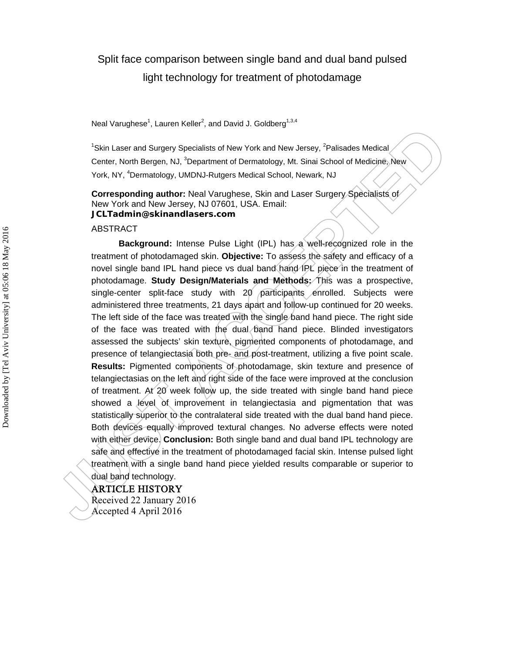# Split face comparison between single band and dual band pulsed light technology for treatment of photodamage

Neal Varughese<sup>1</sup>, Lauren Keller<sup>2</sup>, and David J. Goldberg<sup>1,3,4</sup>

<sup>1</sup>Skin Laser and Surgery Specialists of New York and New Jersey, <sup>2</sup>Palisades Medical Center, North Bergen, NJ, <sup>3</sup>Department of Dermatology, Mt. Sinai School of Medicine, New York, NY, <sup>4</sup>Dermatology, UMDNJ-Rutgers Medical School, Newark, NJ

**Corresponding author:** Neal Varughese, Skin and Laser Surgery Specialists of New York and New Jersey, NJ 07601, USA. Email: **JCLTadmin@skinandlasers.com**

#### ABSTRACT

**Background:** Intense Pulse Light (IPL) has a well-recognized role in the treatment of photodamaged skin. **Objective:** To assess the safety and efficacy of a novel single band IPL hand piece vs dual band hand IPL piece in the treatment of photodamage. **Study Design/Materials and Methods:** This was a prospective, single-center split-face study with 20 participants enrolled. Subjects were administered three treatments, 21 days apart and follow-up continued for 20 weeks. The left side of the face was treated with the single band hand piece. The right side of the face was treated with the dual band hand piece. Blinded investigators assessed the subjects' skin texture, pigmented components of photodamage, and presence of telangiectasia both pre- and post-treatment, utilizing a five point scale. **Results:** Pigmented components of photodamage, skin texture and presence of telangiectasias on the left and right side of the face were improved at the conclusion of treatment. At 20 week follow up, the side treated with single band hand piece showed a level of improvement in telangiectasia and pigmentation that was statistically superior to the contralateral side treated with the dual band hand piece. Both devices equally improved textural changes. No adverse effects were noted with either device. **Conclusion:** Both single band and dual band IPL technology are safe and effective in the treatment of photodamaged facial skin. Intense pulsed light treatment with a single band hand piece yielded results comparable or superior to dual band technology.

#### ARTICLE HISTORY

Received 22 January 2016 Accepted 4 April 2016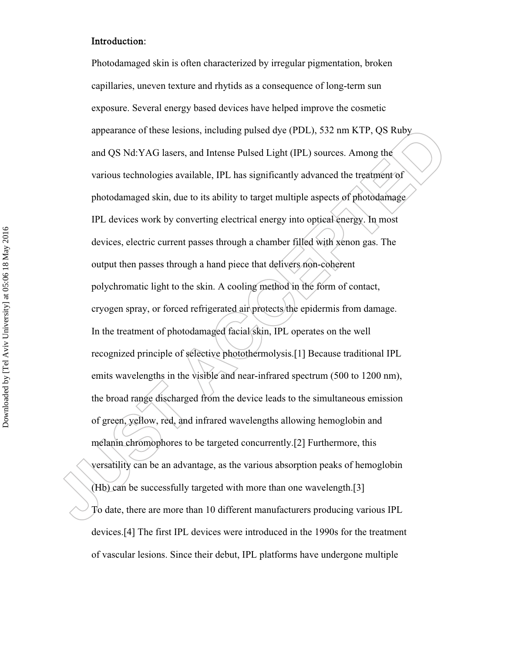#### Introduction:

Photodamaged skin is often characterized by irregular pigmentation, broken capillaries, uneven texture and rhytids as a consequence of long-term sun exposure. Several energy based devices have helped improve the cosmetic appearance of these lesions, including pulsed dye (PDL), 532 nm KTP, QS Ruby and QS Nd:YAG lasers, and Intense Pulsed Light (IPL) sources. Among the various technologies available, IPL has significantly advanced the treatment of photodamaged skin, due to its ability to target multiple aspects of photodamage IPL devices work by converting electrical energy into optical energy. In most devices, electric current passes through a chamber filled with xenon gas. The output then passes through a hand piece that delivers non-coherent polychromatic light to the skin. A cooling method in the form of contact, cryogen spray, or forced refrigerated air protects the epidermis from damage. In the treatment of photodamaged facial skin, IPL operates on the well recognized principle of selective photothermolysis.[1] Because traditional IPL emits wavelengths in the visible and near-infrared spectrum (500 to 1200 nm), the broad range discharged from the device leads to the simultaneous emission of green, yellow, red, and infrared wavelengths allowing hemoglobin and melanin chromophores to be targeted concurrently.[2] Furthermore, this versatility can be an advantage, as the various absorption peaks of hemoglobin (Hb) can be successfully targeted with more than one wavelength.[3] To date, there are more than 10 different manufacturers producing various IPL devices.[4] The first IPL devices were introduced in the 1990s for the treatment of vascular lesions. Since their debut, IPL platforms have undergone multiple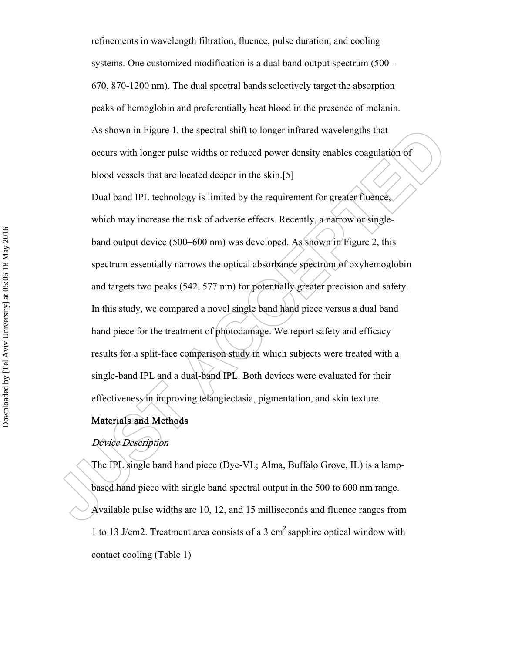refinements in wavelength filtration, fluence, pulse duration, and cooling systems. One customized modification is a dual band output spectrum (500 - 670, 870-1200 nm). The dual spectral bands selectively target the absorption peaks of hemoglobin and preferentially heat blood in the presence of melanin. As shown in Figure 1, the spectral shift to longer infrared wavelengths that occurs with longer pulse widths or reduced power density enables coagulation of blood vessels that are located deeper in the skin.[5]

Dual band IPL technology is limited by the requirement for greater fluence, which may increase the risk of adverse effects. Recently, a narrow or singleband output device (500–600 nm) was developed. As shown in Figure 2, this spectrum essentially narrows the optical absorbance spectrum of oxyhemoglobin and targets two peaks (542, 577 nm) for potentially greater precision and safety. In this study, we compared a novel single band hand piece versus a dual band hand piece for the treatment of photodamage. We report safety and efficacy results for a split-face comparison study in which subjects were treated with a single-band IPL and a dual-band IPL. Both devices were evaluated for their effectiveness in improving telangiectasia, pigmentation, and skin texture.

## Materials and Methods

# Device Description

The IPL single band hand piece (Dye-VL; Alma, Buffalo Grove, IL) is a lampbased hand piece with single band spectral output in the 500 to 600 nm range. Available pulse widths are 10, 12, and 15 milliseconds and fluence ranges from 1 to 13 J/cm2. Treatment area consists of a 3 cm<sup>2</sup> sapphire optical window with contact cooling (Table 1)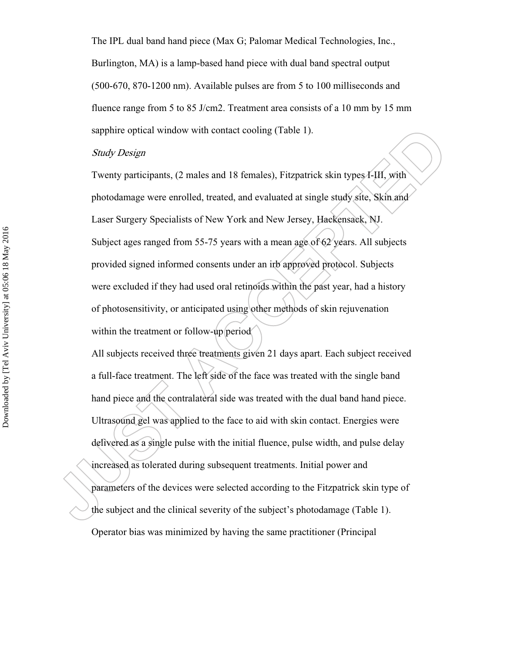The IPL dual band hand piece (Max G; Palomar Medical Technologies, Inc., Burlington, MA) is a lamp-based hand piece with dual band spectral output (500-670, 870-1200 nm). Available pulses are from 5 to 100 milliseconds and fluence range from 5 to 85 J/cm2. Treatment area consists of a 10 mm by 15 mm sapphire optical window with contact cooling (Table 1).

#### Study Design

Twenty participants, (2 males and 18 females), Fitzpatrick skin types I-III, with photodamage were enrolled, treated, and evaluated at single study site, Skin and Laser Surgery Specialists of New York and New Jersey, Hackensack, NJ. Subject ages ranged from 55-75 years with a mean age of 62 years. All subjects provided signed informed consents under an irb approved protocol. Subjects were excluded if they had used oral retinoids within the past year, had a history of photosensitivity, or anticipated using other methods of skin rejuvenation within the treatment or follow-up period

All subjects received three treatments given 21 days apart. Each subject received a full-face treatment. The left side of the face was treated with the single band hand piece and the contralateral side was treated with the dual band hand piece. Ultrasound gel was applied to the face to aid with skin contact. Energies were delivered as a single pulse with the initial fluence, pulse width, and pulse delay increased as tolerated during subsequent treatments. Initial power and parameters of the devices were selected according to the Fitzpatrick skin type of the subject and the clinical severity of the subject's photodamage (Table 1). Operator bias was minimized by having the same practitioner (Principal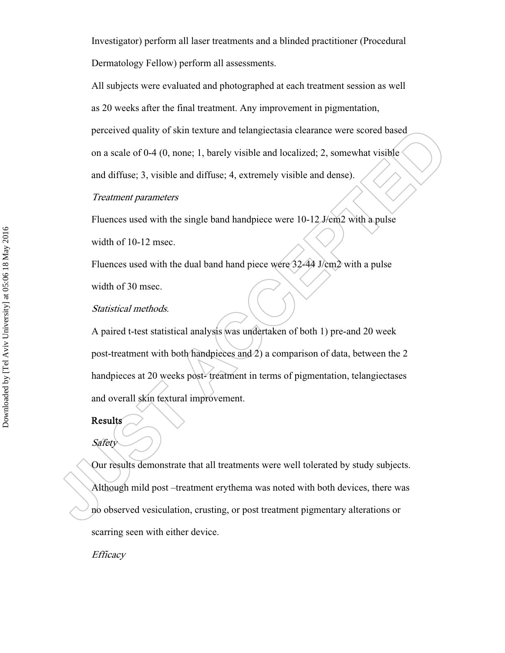Investigator) perform all laser treatments and a blinded practitioner (Procedural Dermatology Fellow) perform all assessments.

All subjects were evaluated and photographed at each treatment session as well

as 20 weeks after the final treatment. Any improvement in pigmentation,

perceived quality of skin texture and telangiectasia clearance were scored based

on a scale of 0-4 (0, none; 1, barely visible and localized; 2, somewhat visible

and diffuse; 3, visible and diffuse; 4, extremely visible and dense).

#### Treatment parameters

Fluences used with the single band handpiece were 10-12 J/cm2 with a pulse width of 10-12 msec.

Fluences used with the dual band hand piece were 32-44 J/cm2 with a pulse width of 30 msec.

#### Statistical methods.

A paired t-test statistical analysis was undertaken of both 1) pre-and 20 week post-treatment with both handpieces and 2) a comparison of data, between the 2 handpieces at 20 weeks post- treatment in terms of pigmentation, telangiectases and overall skin textural improvement.

#### Results

Safety

Our results demonstrate that all treatments were well tolerated by study subjects. Although mild post –treatment erythema was noted with both devices, there was no observed vesiculation, crusting, or post treatment pigmentary alterations or scarring seen with either device.

**Efficacy**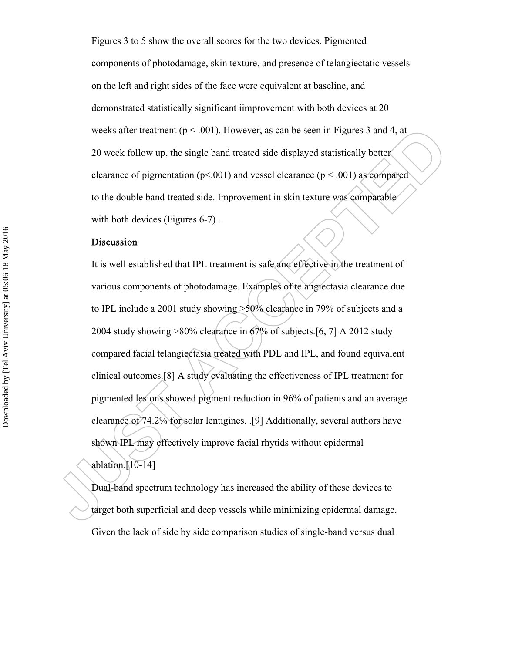Figures 3 to 5 show the overall scores for the two devices. Pigmented components of photodamage, skin texture, and presence of telangiectatic vessels on the left and right sides of the face were equivalent at baseline, and demonstrated statistically significant iimprovement with both devices at 20 weeks after treatment ( $p < .001$ ). However, as can be seen in Figures 3 and 4, at 20 week follow up, the single band treated side displayed statistically better clearance of pigmentation ( $p$ <.001) and vessel clearance ( $p$  <.001) as compared to the double band treated side. Improvement in skin texture was comparable with both devices (Figures 6-7).

#### Discussion

It is well established that IPL treatment is safe and effective in the treatment of various components of photodamage. Examples of telangiectasia clearance due to IPL include a 2001 study showing >50% clearance in 79% of subjects and a 2004 study showing >80% clearance in 67% of subjects.[6, 7] A 2012 study compared facial telangiectasia treated with PDL and IPL, and found equivalent clinical outcomes.[8] A study evaluating the effectiveness of IPL treatment for pigmented lesions showed pigment reduction in 96% of patients and an average clearance of 74.2% for solar lentigines. .[9] Additionally, several authors have shown IPL may effectively improve facial rhytids without epidermal ablation. $[10-14]$ 

Dual-band spectrum technology has increased the ability of these devices to target both superficial and deep vessels while minimizing epidermal damage. Given the lack of side by side comparison studies of single-band versus dual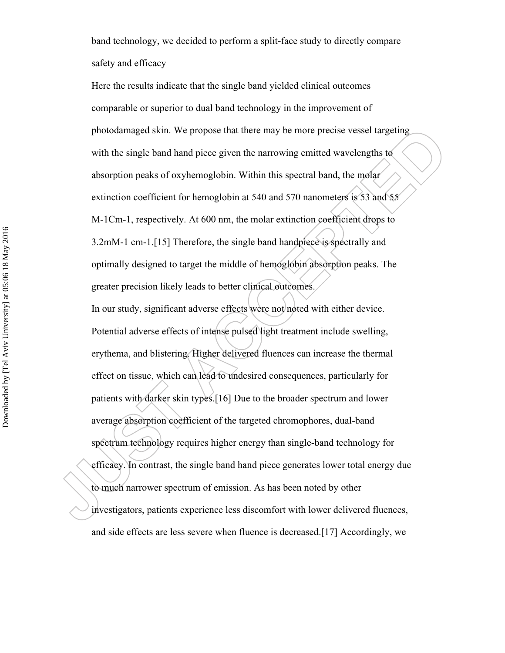band technology, we decided to perform a split-face study to directly compare safety and efficacy

Here the results indicate that the single band yielded clinical outcomes comparable or superior to dual band technology in the improvement of photodamaged skin. We propose that there may be more precise vessel targeting with the single band hand piece given the narrowing emitted wavelengths to absorption peaks of oxyhemoglobin. Within this spectral band, the molar extinction coefficient for hemoglobin at 540 and 570 nanometers is 53 and 55 M-1Cm-1, respectively. At 600 nm, the molar extinction coefficient drops to 3.2mM-1 cm-1.[15] Therefore, the single band handpiece is spectrally and optimally designed to target the middle of hemoglobin absorption peaks. The greater precision likely leads to better clinical outcomes. In our study, significant adverse effects were not noted with either device. Potential adverse effects of intense pulsed light treatment include swelling, erythema, and blistering. Higher delivered fluences can increase the thermal effect on tissue, which can lead to undesired consequences, particularly for patients with darker skin types.[16] Due to the broader spectrum and lower average absorption coefficient of the targeted chromophores, dual-band spectrum technology requires higher energy than single-band technology for efficacy. In contrast, the single band hand piece generates lower total energy due to much narrower spectrum of emission. As has been noted by other investigators, patients experience less discomfort with lower delivered fluences, and side effects are less severe when fluence is decreased.[17] Accordingly, we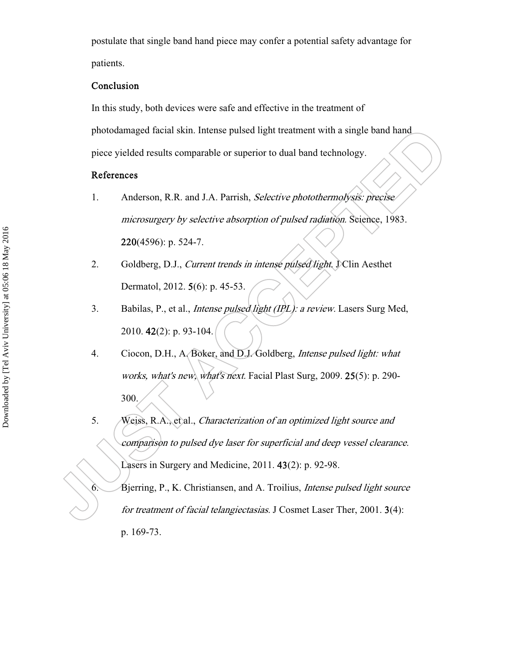postulate that single band hand piece may confer a potential safety advantage for patients.

#### Conclusion

In this study, both devices were safe and effective in the treatment of

photodamaged facial skin. Intense pulsed light treatment with a single band hand

piece yielded results comparable or superior to dual band technology.

#### References

- 1. Anderson, R.R. and J.A. Parrish, Selective photothermolysis: precise microsurgery by selective absorption of pulsed radiation. Science, 1983. 220(4596): p. 524-7.
- 2. Goldberg, D.J., Current trends in intense pulsed light. J Clin Aesthet Dermatol, 2012. 5(6): p. 45-53.
- 3. Babilas, P., et al., *Intense pulsed light (IPL): a review*. Lasers Surg Med, 2010. 42(2): p. 93-104.
- 4. Ciocon, D.H., A. Boker, and D.J. Goldberg, Intense pulsed light: what works, what's new, what's next. Facial Plast Surg, 2009. 25(5): p. 290- 300.
- 5. Weiss, R.A., et al., Characterization of an optimized light source and comparison to pulsed dye laser for superficial and deep vessel clearance. Lasers in Surgery and Medicine, 2011. 43(2): p. 92-98.

6. Bjerring, P., K. Christiansen, and A. Troilius, Intense pulsed light source for treatment of facial telangiectasias. J Cosmet Laser Ther, 2001. 3(4): p. 169-73.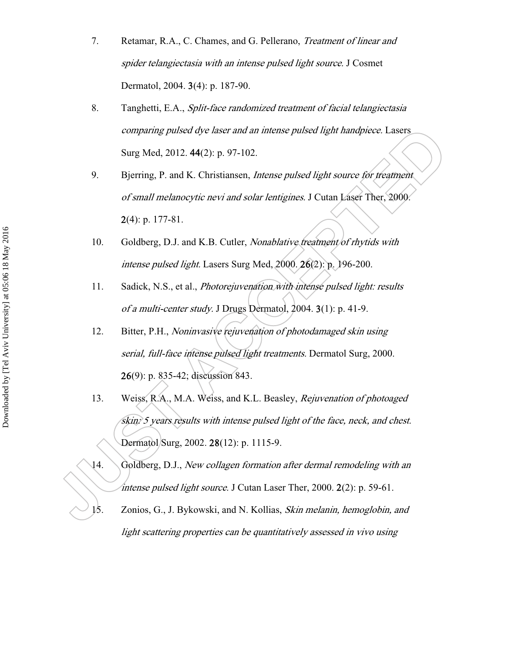- 7. Retamar, R.A., C. Chames, and G. Pellerano, Treatment of linear and spider telangiectasia with an intense pulsed light source. J Cosmet Dermatol, 2004. 3(4): p. 187-90.
- 8. Tanghetti, E.A., Split-face randomized treatment of facial telangiectasia comparing pulsed dye laser and an intense pulsed light handpiece. Lasers Surg Med, 2012. 44(2): p. 97-102.
- 9. Bjerring, P. and K. Christiansen, *Intense pulsed light source for treatment* of small melanocytic nevi and solar lentigines. J Cutan Laser Ther, 2000. 2(4): p. 177-81.
- 10. Goldberg, D.J. and K.B. Cutler, *Nonablative treatment of rhytids with* intense pulsed light. Lasers Surg Med, 2000. 26(2): p. 196-200.
- 11. Sadick, N.S., et al., Photorejuvenation with intense pulsed light: results of a multi-center study. J Drugs Dermatol, 2004. 3(1): p. 41-9.
- 12. Bitter, P.H., Noninvasive rejuvenation of photodamaged skin using serial, full-face intense pulsed light treatments. Dermatol Surg, 2000. 26(9): p. 835-42; discussion 843.
- 13. Weiss, R.A., M.A. Weiss, and K.L. Beasley, Rejuvenation of photoaged skin: 5 years results with intense pulsed light of the face, neck, and chest. Dermatol Surg, 2002. 28(12): p. 1115-9.
- 14. Goldberg, D.J., New collagen formation after dermal remodeling with an intense pulsed light source. J Cutan Laser Ther,  $2000$ .  $2(2)$ : p. 59-61.
- 15. Zonios, G., J. Bykowski, and N. Kollias, Skin melanin, hemoglobin, and light scattering properties can be quantitatively assessed in vivo using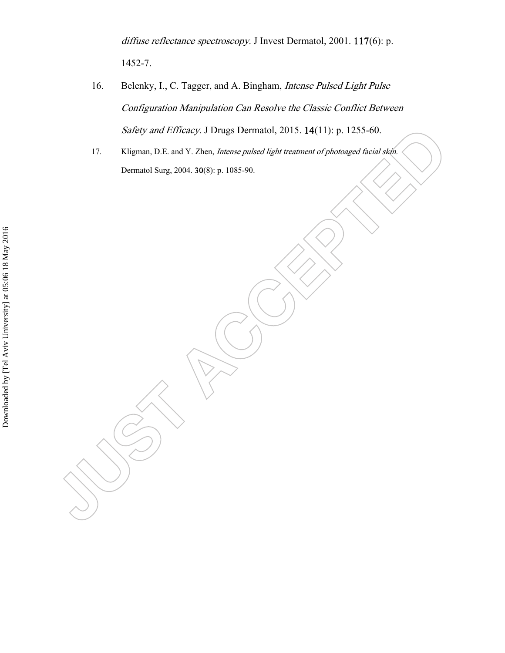diffuse reflectance spectroscopy. J Invest Dermatol, 2001. 117(6): p. 1452-7.

- 16. Belenky, I., C. Tagger, and A. Bingham, Intense Pulsed Light Pulse Configuration Manipulation Can Resolve the Classic Conflict Between Safety and Efficacy. J Drugs Dermatol, 2015. 14(11): p. 1255-60.
- 17. Kligman, D.E. and Y. Zhen, Intense pulsed light treatment of photoaged facial skin. Dermatol Surg, 2004. 30(8): p. 1085-90.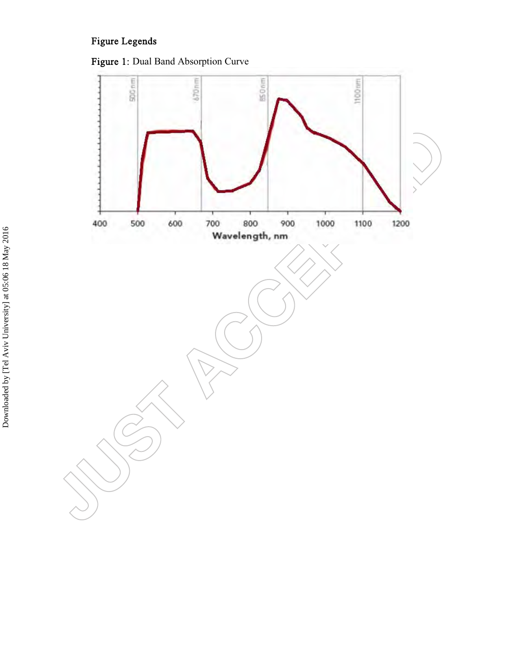# Figure Legends



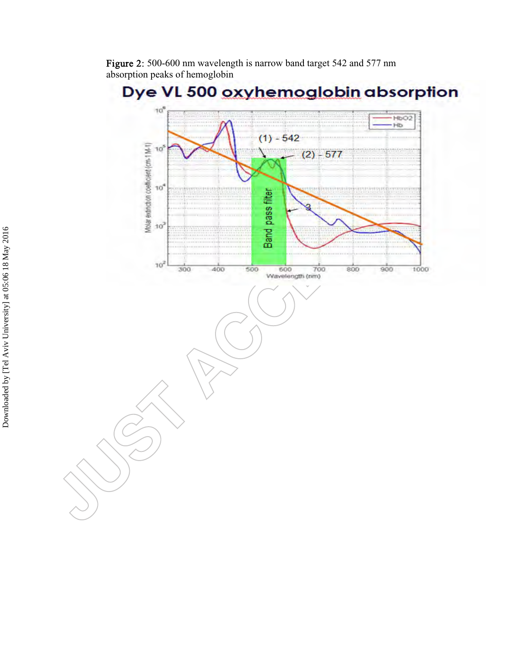Figure 2: 500-600 nm wavelength is narrow band target 542 and 577 nm absorption peaks of hemoglobin

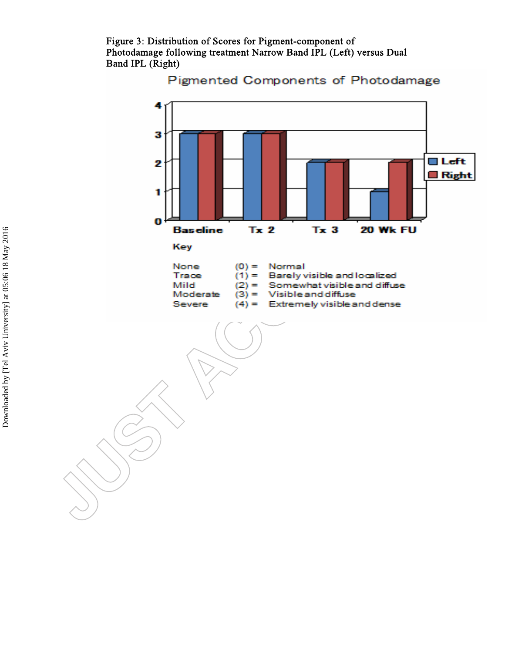Figure 3: Distribution of Scores for Pigment-component of Photodamage following treatment Narrow Band IPL (Left) versus Dual Band IPL (Right)



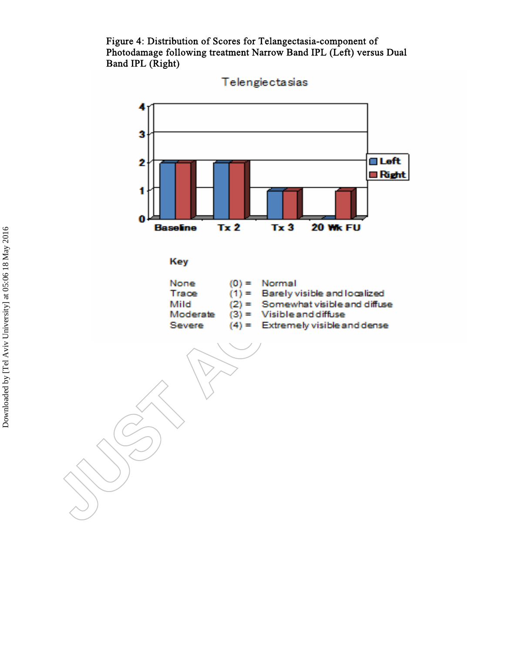Figure 4: Distribution of Scores for Telangectasia-component of Photodamage following treatment Narrow Band IPL (Left) versus Dual Band IPL (Right)



Telengiectasias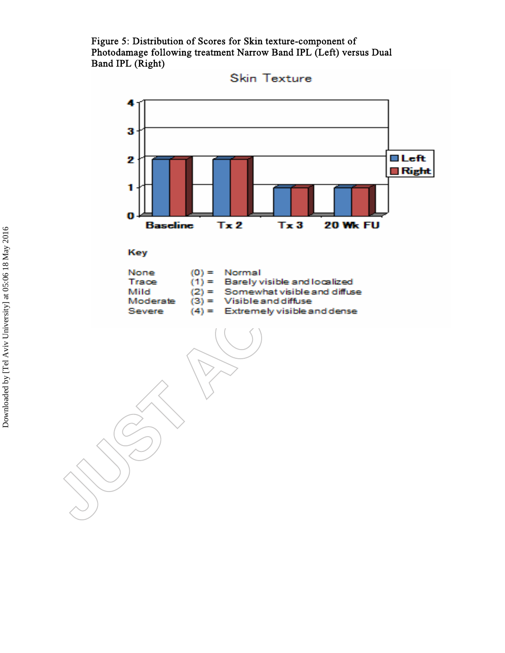Figure 5: Distribution of Scores for Skin texture-component of Photodamage following treatment Narrow Band IPL (Left) versus Dual Band IPL (Right)



**Skin Texture**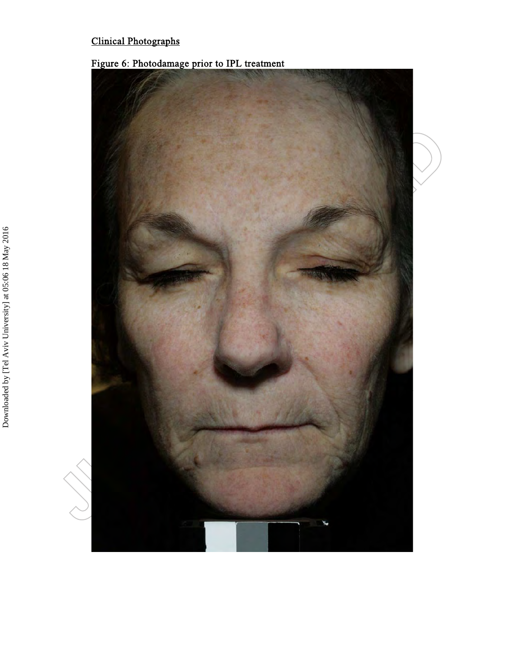# Clinical Photographs



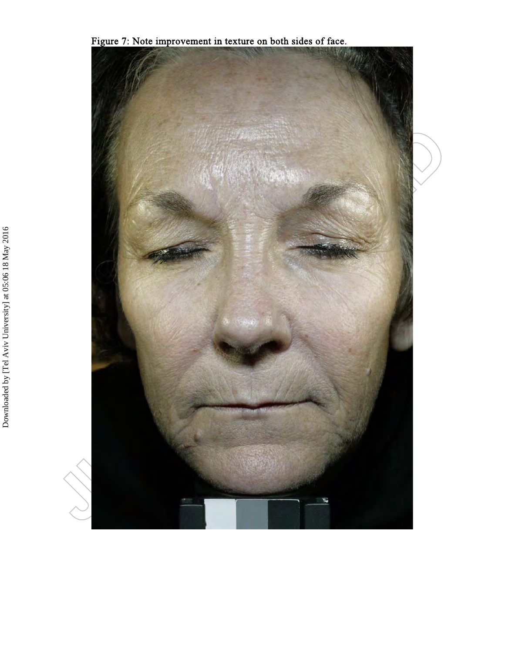Figure 7: Note improvement in texture on both sides of face.

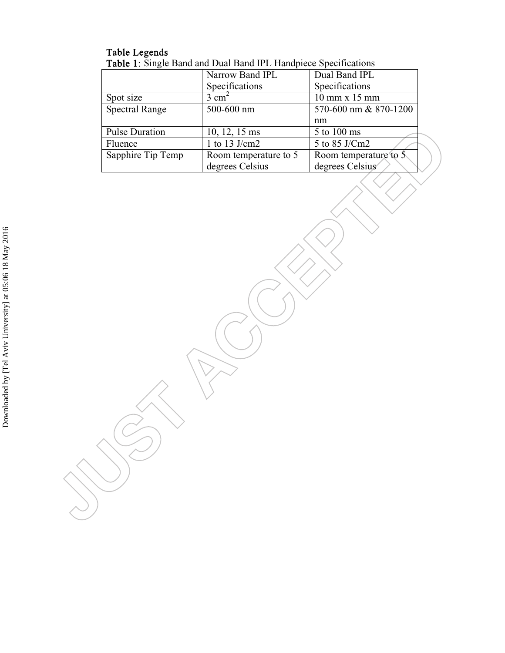## Table Legends Table 1: Single Band and Dual Band IPL Handpiece Specifications

|                       | Narrow Band IPL       | Dual Band IPL         |  |
|-----------------------|-----------------------|-----------------------|--|
|                       | Specifications        | Specifications        |  |
| Spot size             | $3 \text{ cm}^2$      | $10$ mm x $15$ mm     |  |
| <b>Spectral Range</b> | 500-600 nm            | 570-600 nm & 870-1200 |  |
|                       |                       | nm                    |  |
| <b>Pulse Duration</b> | 10, 12, 15 ms         | 5 to 100 ms           |  |
| Fluence               | 1 to 13 J/cm2         | 5 to 85 J/Cm2         |  |
| Sapphire Tip Temp     | Room temperature to 5 | Room temperature to 5 |  |
|                       | degrees Celsius       | degrees Celsius       |  |